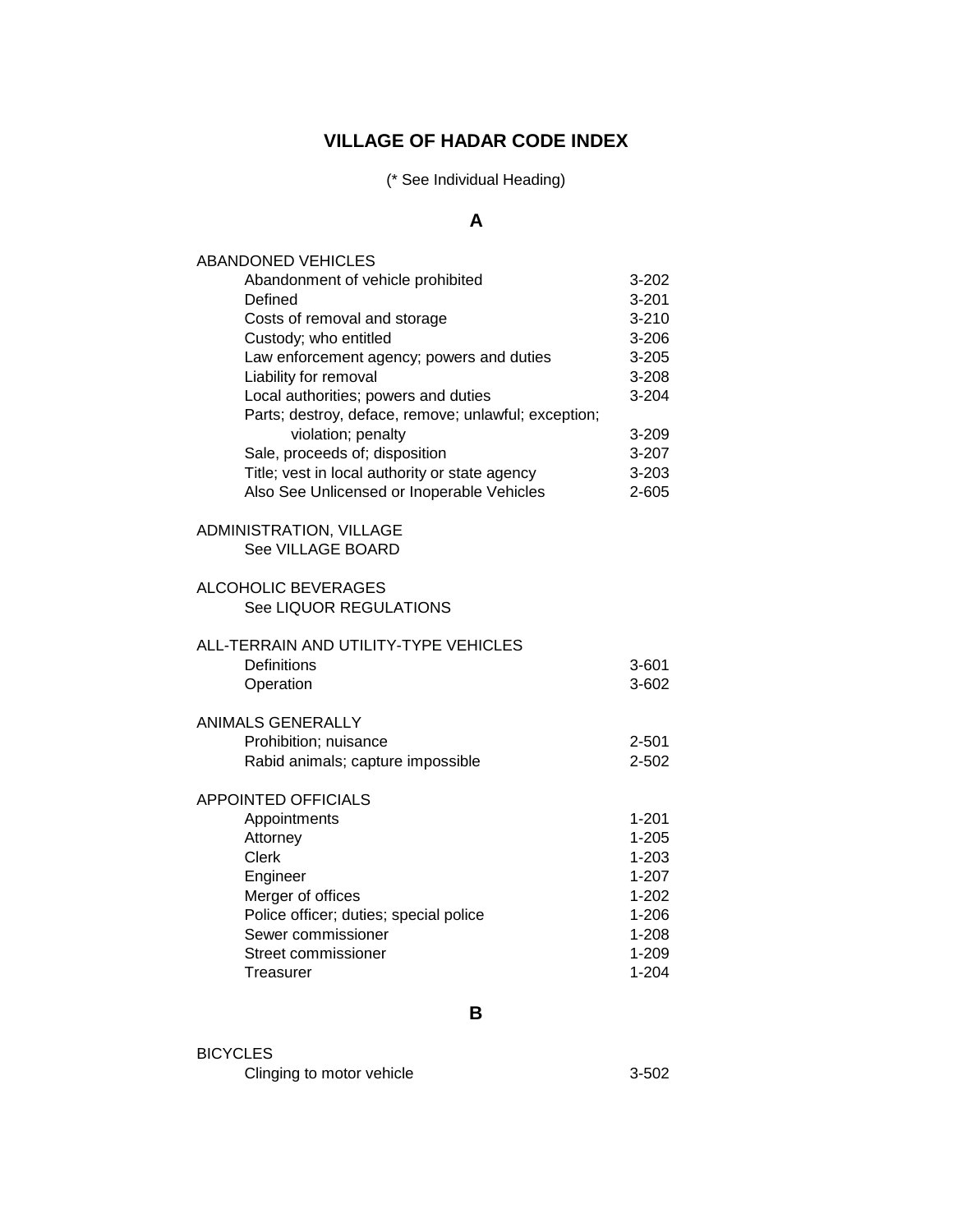## **VILLAGE OF HADAR CODE INDEX**

(\* See Individual Heading)

## **A**

| <b>ABANDONED VEHICLES</b>                            |           |
|------------------------------------------------------|-----------|
| Abandonment of vehicle prohibited                    | 3-202     |
| Defined                                              | $3 - 201$ |
| Costs of removal and storage                         | $3 - 210$ |
| Custody; who entitled                                | 3-206     |
| Law enforcement agency; powers and duties            | $3 - 205$ |
| Liability for removal                                | $3 - 208$ |
| Local authorities; powers and duties                 | 3-204     |
| Parts; destroy, deface, remove; unlawful; exception; |           |
| violation; penalty                                   | 3-209     |
| Sale, proceeds of; disposition                       | 3-207     |
| Title; vest in local authority or state agency       | 3-203     |
| Also See Unlicensed or Inoperable Vehicles           | 2-605     |
|                                                      |           |
| ADMINISTRATION, VILLAGE                              |           |
| See VILLAGE BOARD                                    |           |
| <b>ALCOHOLIC BEVERAGES</b>                           |           |
| See LIQUOR REGULATIONS                               |           |
|                                                      |           |
| ALL-TERRAIN AND UTILITY-TYPE VEHICLES                |           |
| <b>Definitions</b>                                   | 3-601     |
| Operation                                            | 3-602     |
|                                                      |           |
| <b>ANIMALS GENERALLY</b>                             |           |
| Prohibition; nuisance                                | 2-501     |
| Rabid animals; capture impossible                    | 2-502     |
|                                                      |           |
| <b>APPOINTED OFFICIALS</b>                           |           |
| Appointments                                         | $1 - 201$ |
| Attorney                                             | $1 - 205$ |
| <b>Clerk</b>                                         | $1 - 203$ |
| Engineer                                             | $1 - 207$ |
| Merger of offices                                    | $1 - 202$ |
| Police officer; duties; special police               | $1 - 206$ |
| Sewer commissioner                                   | $1 - 208$ |
| Street commissioner                                  | $1 - 209$ |
| Treasurer                                            | $1 - 204$ |
|                                                      |           |

**B**

| <b>BICYCLES</b>           |           |
|---------------------------|-----------|
| Clinging to motor vehicle | $3 - 502$ |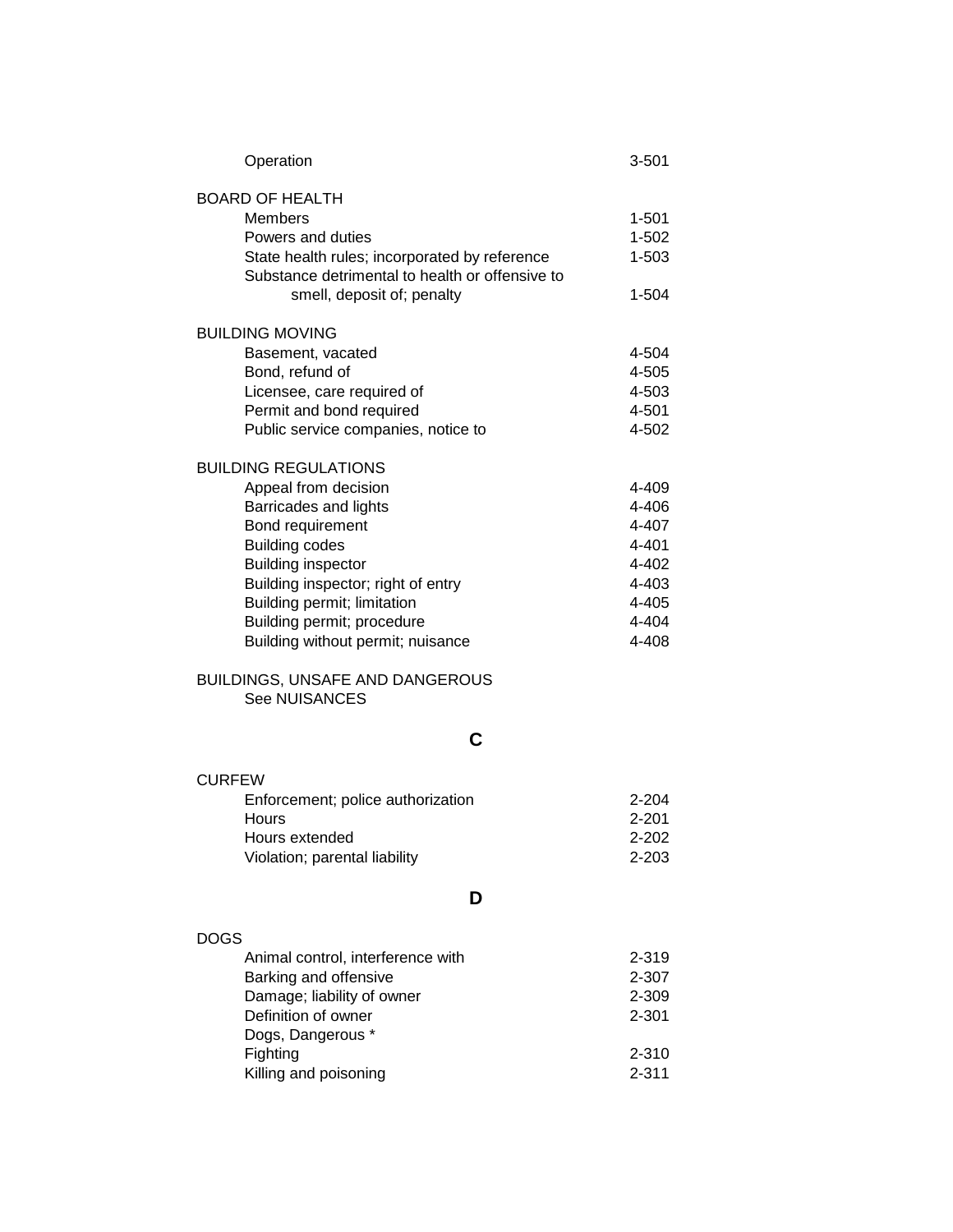| Operation                                                      | $3 - 501$              |
|----------------------------------------------------------------|------------------------|
| <b>BOARD OF HEALTH</b>                                         |                        |
| <b>Members</b>                                                 | 1-501                  |
| Powers and duties                                              | 1-502                  |
| State health rules; incorporated by reference                  | $1 - 503$              |
| Substance detrimental to health or offensive to                |                        |
| smell, deposit of; penalty                                     | 1-504                  |
| <b>BUILDING MOVING</b>                                         |                        |
| Basement, vacated                                              | 4-504                  |
| Bond, refund of                                                | 4-505                  |
| Licensee, care required of                                     | 4-503                  |
| Permit and bond required                                       | 4-501                  |
| Public service companies, notice to                            | 4-502                  |
| <b>BUILDING REGULATIONS</b>                                    |                        |
| Appeal from decision                                           | 4-409                  |
| Barricades and lights                                          | 4-406                  |
| Bond requirement                                               | 4-407                  |
| <b>Building codes</b>                                          | 4-401                  |
| <b>Building inspector</b>                                      | 4-402                  |
| Building inspector; right of entry                             | 4-403                  |
| Building permit; limitation                                    | 4-405                  |
| Building permit; procedure                                     | 4-404                  |
| Building without permit; nuisance                              | 4-408                  |
| <b>BUILDINGS, UNSAFE AND DANGEROUS</b><br><b>See NUISANCES</b> |                        |
| С                                                              |                        |
|                                                                |                        |
| <b>CURFEW</b>                                                  |                        |
| Enforcement; police authorization<br>Hours                     | $2 - 204$<br>$2 - 201$ |
| Hours extended                                                 | 2-202                  |
|                                                                |                        |
| Violation; parental liability                                  | 2-203                  |
| D                                                              |                        |
| <b>DOGS</b>                                                    |                        |
| Animal control, interference with                              | 2-319                  |
| Barking and offensive                                          | 2-307                  |
| Damage; liability of owner                                     | 2-309                  |
| Definition of owner                                            | $2 - 301$              |
| Dogs, Dangerous *                                              |                        |
| Fighting                                                       | 2-310                  |
| Killing and poisoning                                          | $2 - 311$              |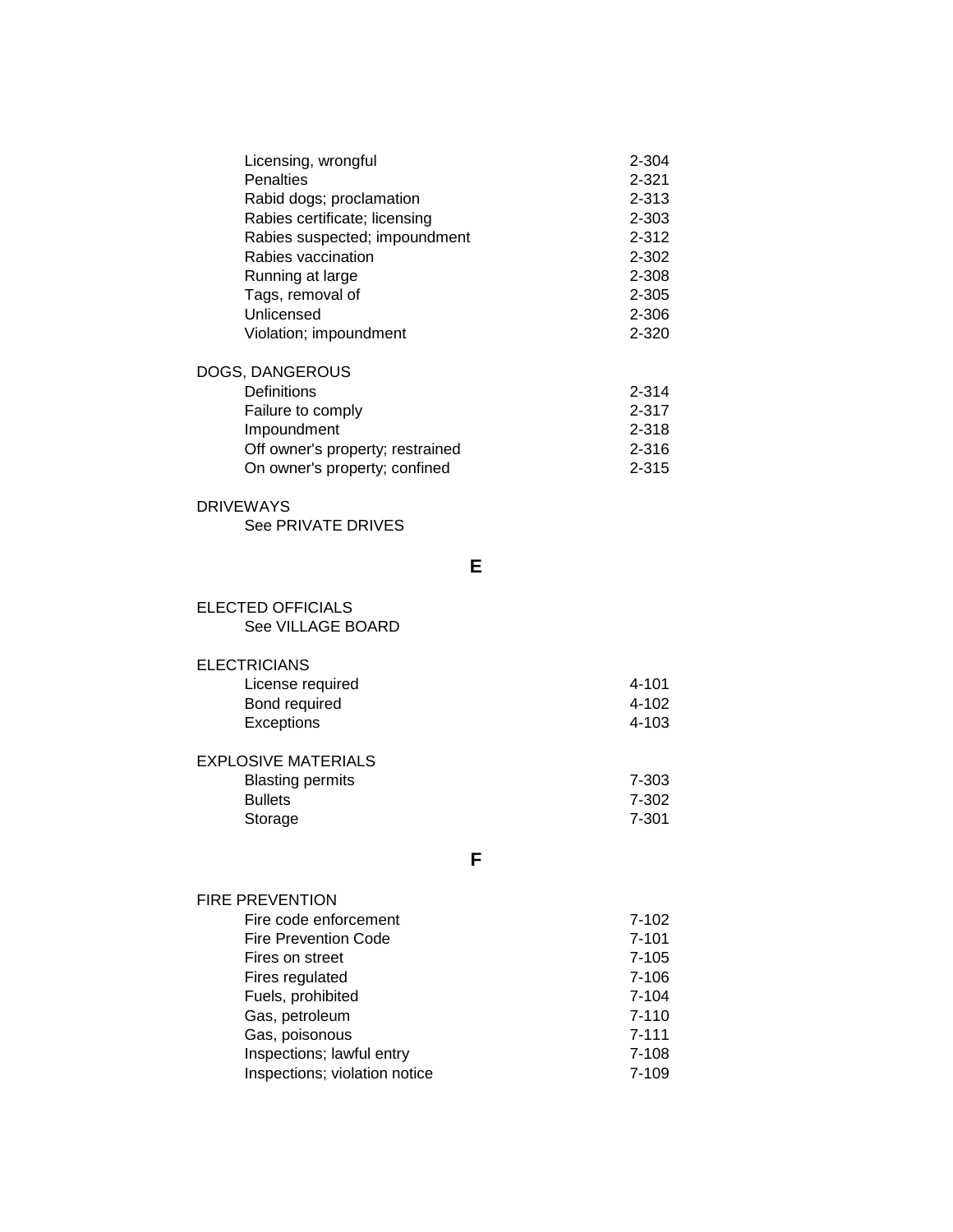| Licensing, wrongful              | 2-304     |
|----------------------------------|-----------|
| <b>Penalties</b>                 | $2 - 321$ |
| Rabid dogs; proclamation         | $2 - 313$ |
| Rabies certificate; licensing    | $2 - 303$ |
| Rabies suspected; impoundment    | $2 - 312$ |
| Rabies vaccination               | 2-302     |
| Running at large                 | 2-308     |
| Tags, removal of                 | $2 - 305$ |
| Unlicensed                       | 2-306     |
| Violation; impoundment           | $2 - 320$ |
| DOGS, DANGEROUS                  |           |
| Definitions                      | $2 - 314$ |
| Failure to comply                | $2 - 317$ |
| Impoundment                      | $2 - 318$ |
| Off owner's property; restrained | 2-316     |

| <b>DRIVEWAYS</b>   |
|--------------------|
| See PRIVATE DRIVES |

**E**

On owner's property; confined example 2-315

| ELECTED OFFICIALS |
|-------------------|
| See VILLAGE BOARD |

Storage

| <b>ELECTRICIANS</b>        |           |
|----------------------------|-----------|
| License required           | 4-101     |
| Bond required              | 4-102     |
| Exceptions                 | $4 - 103$ |
|                            |           |
| <b>EXPLOSIVE MATERIALS</b> |           |
| <b>Blasting permits</b>    | 7-303     |
| <b>Bullets</b>             | 7-302     |
| Storage                    | $7 - 301$ |

**F**

| 7-102     |
|-----------|
| $7 - 101$ |
| $7 - 105$ |
| $7 - 106$ |
| 7-104     |
| $7 - 110$ |
| $7 - 111$ |
| 7-108     |
| 7-109     |
|           |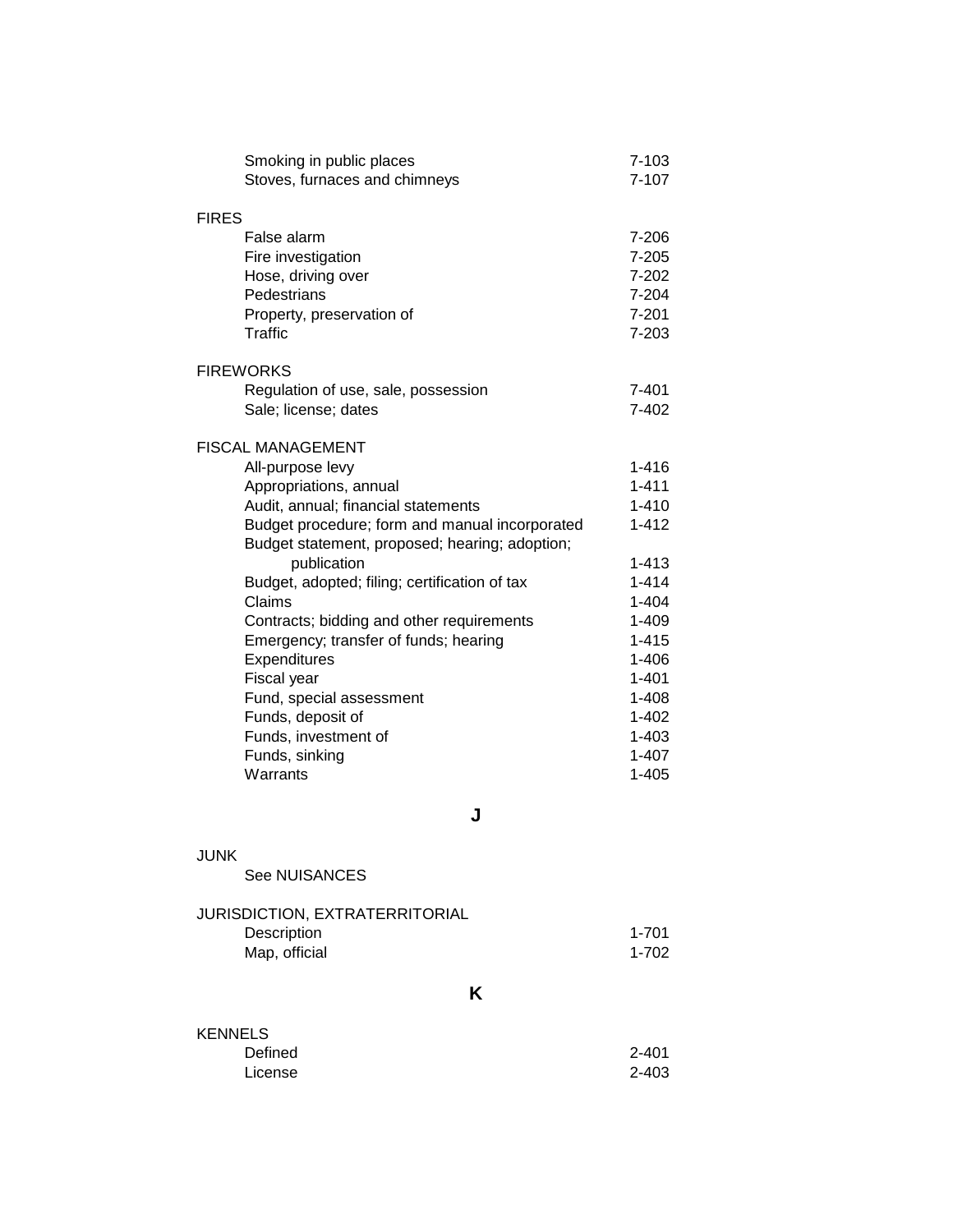| Smoking in public places<br>Stoves, furnaces and chimneys | $7 - 103$<br>$7 - 107$ |
|-----------------------------------------------------------|------------------------|
| <b>FIRES</b>                                              |                        |
| False alarm                                               | 7-206                  |
| Fire investigation                                        | $7 - 205$              |
| Hose, driving over                                        | $7 - 202$              |
| Pedestrians                                               | 7-204                  |
| Property, preservation of                                 | $7 - 201$              |
| Traffic                                                   | 7-203                  |
|                                                           |                        |
| <b>FIREWORKS</b>                                          |                        |
| Regulation of use, sale, possession                       | $7 - 401$              |
| Sale; license; dates                                      | $7 - 402$              |
| <b>FISCAL MANAGEMENT</b>                                  |                        |
| All-purpose levy                                          | $1 - 416$              |
| Appropriations, annual                                    | $1 - 411$              |
| Audit, annual; financial statements                       | $1 - 410$              |
| Budget procedure; form and manual incorporated            | $1 - 412$              |
| Budget statement, proposed; hearing; adoption;            |                        |
| publication                                               | $1 - 413$              |
| Budget, adopted; filing; certification of tax             | $1 - 414$              |
| Claims                                                    | $1 - 404$              |
| Contracts; bidding and other requirements                 | $1 - 409$              |
| Emergency; transfer of funds; hearing                     | $1 - 415$              |
| Expenditures                                              | $1 - 406$              |
| Fiscal year                                               | $1 - 401$              |
| Fund, special assessment                                  | $1 - 408$              |
| Funds, deposit of                                         | $1 - 402$              |
| Funds, investment of                                      | $1 - 403$              |
| Funds, sinking                                            | $1 - 407$              |
| Warrants                                                  | $1 - 405$              |

**J**

## JUNK

See NUISANCES

| JURISDICTION, EXTRATERRITORIAL |       |
|--------------------------------|-------|
| Description                    | 1-701 |
| Map, official                  | 1-702 |

**K**

| <b>KENNELS</b> |           |
|----------------|-----------|
| Defined        | 2-401     |
| License        | $2 - 403$ |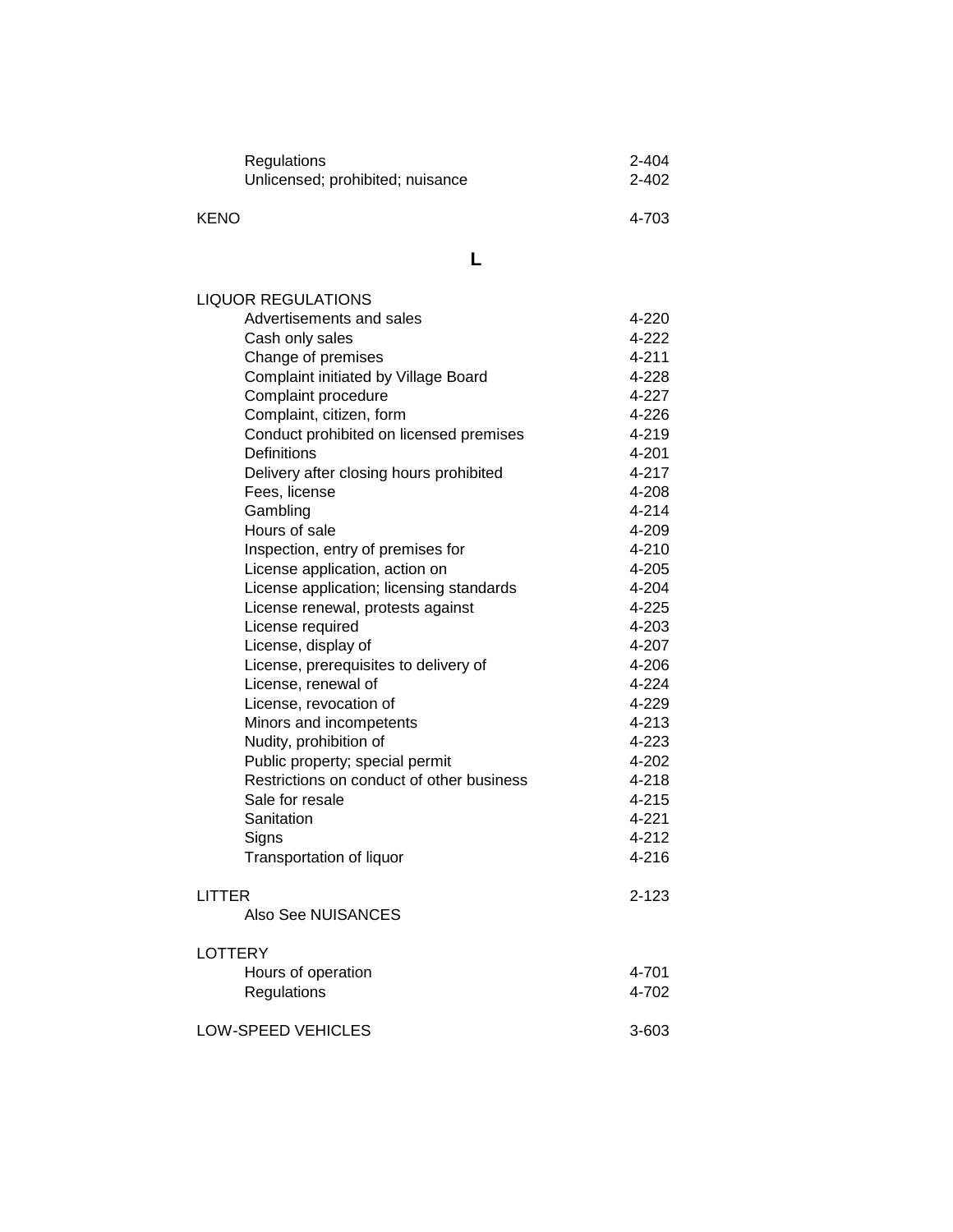| Regulations                      | 2-404     |
|----------------------------------|-----------|
| Unlicensed; prohibited; nuisance | $2 - 402$ |
|                                  |           |
| <b>KENO</b>                      | 4-703     |

**L**

| <b>LIQUOR REGULATIONS</b>                 |           |
|-------------------------------------------|-----------|
| Advertisements and sales                  | 4-220     |
| Cash only sales                           | 4-222     |
| Change of premises                        | $4 - 211$ |
| Complaint initiated by Village Board      | 4-228     |
| Complaint procedure                       | 4-227     |
| Complaint, citizen, form                  | 4-226     |
| Conduct prohibited on licensed premises   | 4-219     |
| Definitions                               | 4-201     |
| Delivery after closing hours prohibited   | 4-217     |
| Fees, license                             | 4-208     |
| Gambling                                  | 4-214     |
| Hours of sale                             | 4-209     |
| Inspection, entry of premises for         | 4-210     |
| License application, action on            | 4-205     |
| License application; licensing standards  | 4-204     |
| License renewal, protests against         | 4-225     |
| License required                          | 4-203     |
| License, display of                       | 4-207     |
| License, prerequisites to delivery of     | 4-206     |
| License, renewal of                       | 4-224     |
| License, revocation of                    | 4-229     |
| Minors and incompetents                   | 4-213     |
| Nudity, prohibition of                    | 4-223     |
| Public property; special permit           | 4-202     |
| Restrictions on conduct of other business | 4-218     |
| Sale for resale                           | 4-215     |
| Sanitation                                | 4-221     |
| Signs                                     | 4-212     |
| Transportation of liquor                  | $4 - 216$ |
| LITTER                                    | $2 - 123$ |
| Also See NUISANCES                        |           |
| <b>LOTTERY</b>                            |           |
| Hours of operation                        | 4-701     |
| Regulations                               | 4-702     |
| <b>LOW-SPEED VEHICLES</b>                 | $3 - 603$ |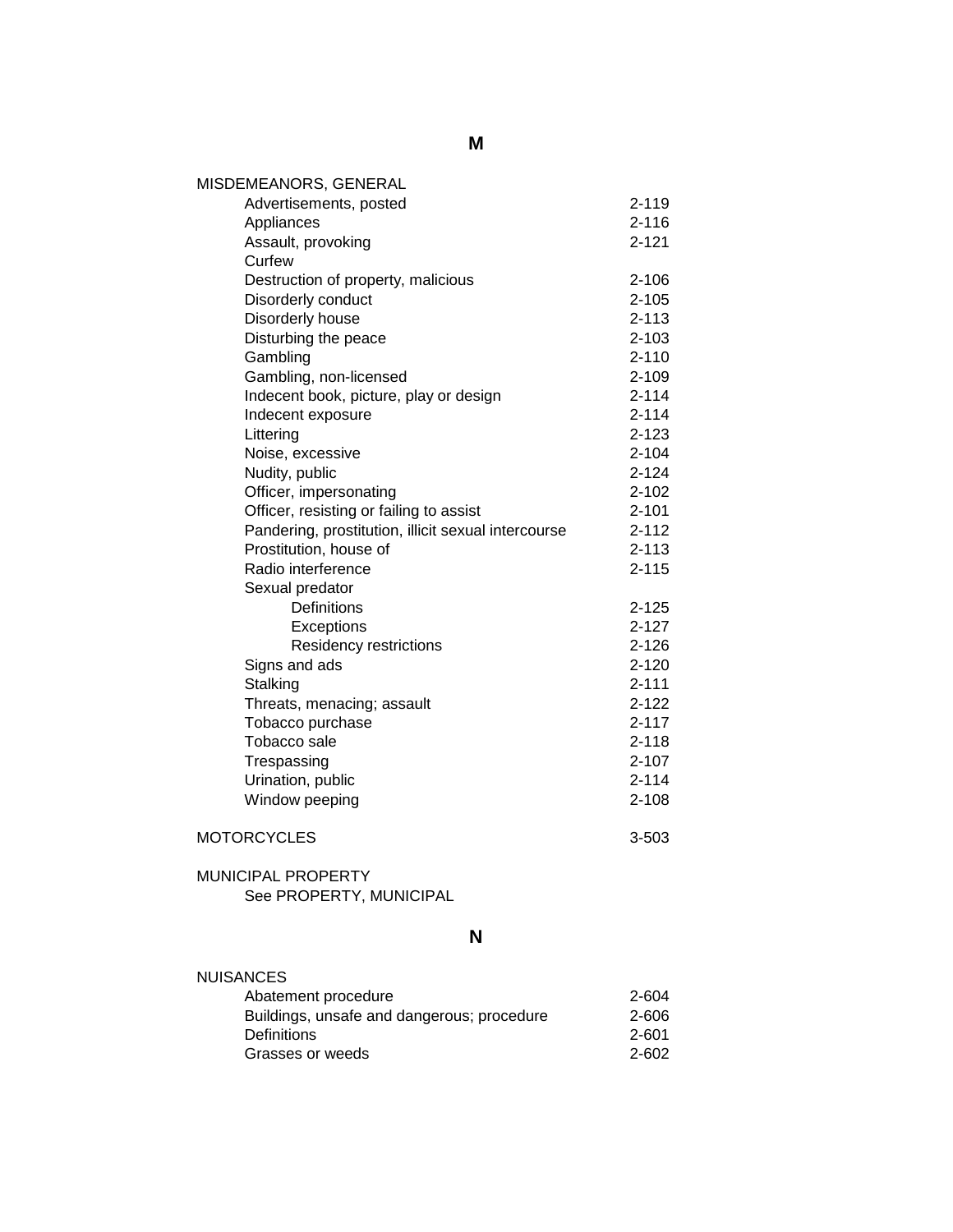| MISDEMEANORS, GENERAL                               |           |
|-----------------------------------------------------|-----------|
| Advertisements, posted                              | $2 - 119$ |
| Appliances                                          | $2 - 116$ |
| Assault, provoking                                  | $2 - 121$ |
| Curfew                                              |           |
| Destruction of property, malicious                  | $2 - 106$ |
| Disorderly conduct                                  | $2 - 105$ |
| Disorderly house                                    | $2 - 113$ |
| Disturbing the peace                                | $2 - 103$ |
| Gambling                                            | $2 - 110$ |
| Gambling, non-licensed                              | $2 - 109$ |
| Indecent book, picture, play or design              | $2 - 114$ |
| Indecent exposure                                   | $2 - 114$ |
| Littering                                           | $2 - 123$ |
| Noise, excessive                                    | $2 - 104$ |
| Nudity, public                                      | $2 - 124$ |
| Officer, impersonating                              | $2 - 102$ |
| Officer, resisting or failing to assist             | $2 - 101$ |
| Pandering, prostitution, illicit sexual intercourse | $2 - 112$ |
| Prostitution, house of                              | $2 - 113$ |
| Radio interference                                  | $2 - 115$ |
| Sexual predator                                     |           |
| Definitions                                         | $2 - 125$ |
| Exceptions                                          | $2 - 127$ |
| Residency restrictions                              | $2 - 126$ |
| Signs and ads                                       | $2 - 120$ |
| Stalking                                            | $2 - 111$ |
| Threats, menacing; assault                          | $2 - 122$ |
| Tobacco purchase                                    | $2 - 117$ |
| Tobacco sale                                        | $2 - 118$ |
| Trespassing                                         | $2 - 107$ |
| Urination, public                                   | $2 - 114$ |
| Window peeping                                      | $2 - 108$ |
|                                                     |           |

## MOTORCYCLES 3-503

#### MUNICIPAL PROPERTY See PROPERTY, MUNICIPAL

**N**

| <b>NUISANCES</b>                           |       |
|--------------------------------------------|-------|
| Abatement procedure                        | 2-604 |
| Buildings, unsafe and dangerous; procedure | 2-606 |
| <b>Definitions</b>                         | 2-601 |
| Grasses or weeds                           | 2-602 |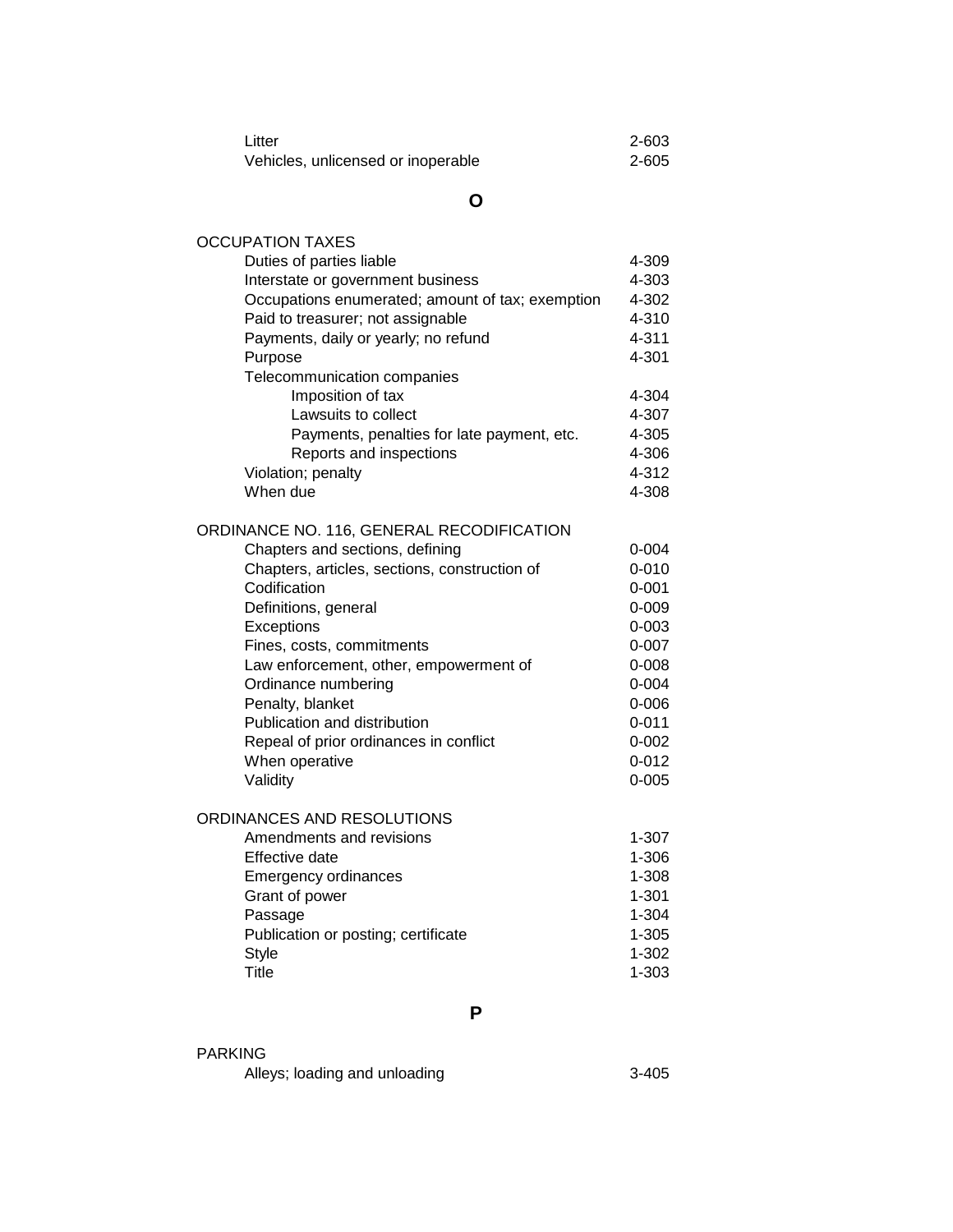| Litter                             | $2 - 603$ |
|------------------------------------|-----------|
| Vehicles, unlicensed or inoperable | $2 - 605$ |

## **O**

| <b>OCCUPATION TAXES</b>                          |           |
|--------------------------------------------------|-----------|
| Duties of parties liable                         | 4-309     |
| Interstate or government business                | 4-303     |
| Occupations enumerated; amount of tax; exemption | 4-302     |
| Paid to treasurer; not assignable                | 4-310     |
| Payments, daily or yearly; no refund             | 4-311     |
| Purpose                                          | 4-301     |
| Telecommunication companies                      |           |
| Imposition of tax                                | 4-304     |
| Lawsuits to collect                              | 4-307     |
| Payments, penalties for late payment, etc.       | 4-305     |
| Reports and inspections                          | 4-306     |
| Violation; penalty                               | 4-312     |
| When due                                         | 4-308     |
| ORDINANCE NO. 116, GENERAL RECODIFICATION        |           |
| Chapters and sections, defining                  | $0 - 004$ |
| Chapters, articles, sections, construction of    | $0 - 010$ |
| Codification                                     | $0 - 001$ |
| Definitions, general                             | $0 - 009$ |
| Exceptions                                       | $0 - 003$ |
| Fines, costs, commitments                        | $0 - 007$ |
| Law enforcement, other, empowerment of           | $0 - 008$ |
| Ordinance numbering                              | $0 - 004$ |
| Penalty, blanket                                 | $0 - 006$ |
| Publication and distribution                     | $0 - 011$ |
| Repeal of prior ordinances in conflict           | $0 - 002$ |
| When operative                                   | $0 - 012$ |
| Validity                                         | $0 - 005$ |
| ORDINANCES AND RESOLUTIONS                       |           |
| Amendments and revisions                         | $1 - 307$ |
| Effective date                                   | 1-306     |
| <b>Emergency ordinances</b>                      | 1-308     |
| Grant of power                                   | $1 - 301$ |
| Passage                                          | $1 - 304$ |
| Publication or posting; certificate              | $1 - 305$ |
| <b>Style</b>                                     | $1 - 302$ |
| Title                                            | 1-303     |
|                                                  |           |

**P**

| <b>PARKING</b> |  |  |  |  |
|----------------|--|--|--|--|
|                |  |  |  |  |

Alleys; loading and unloading 3-405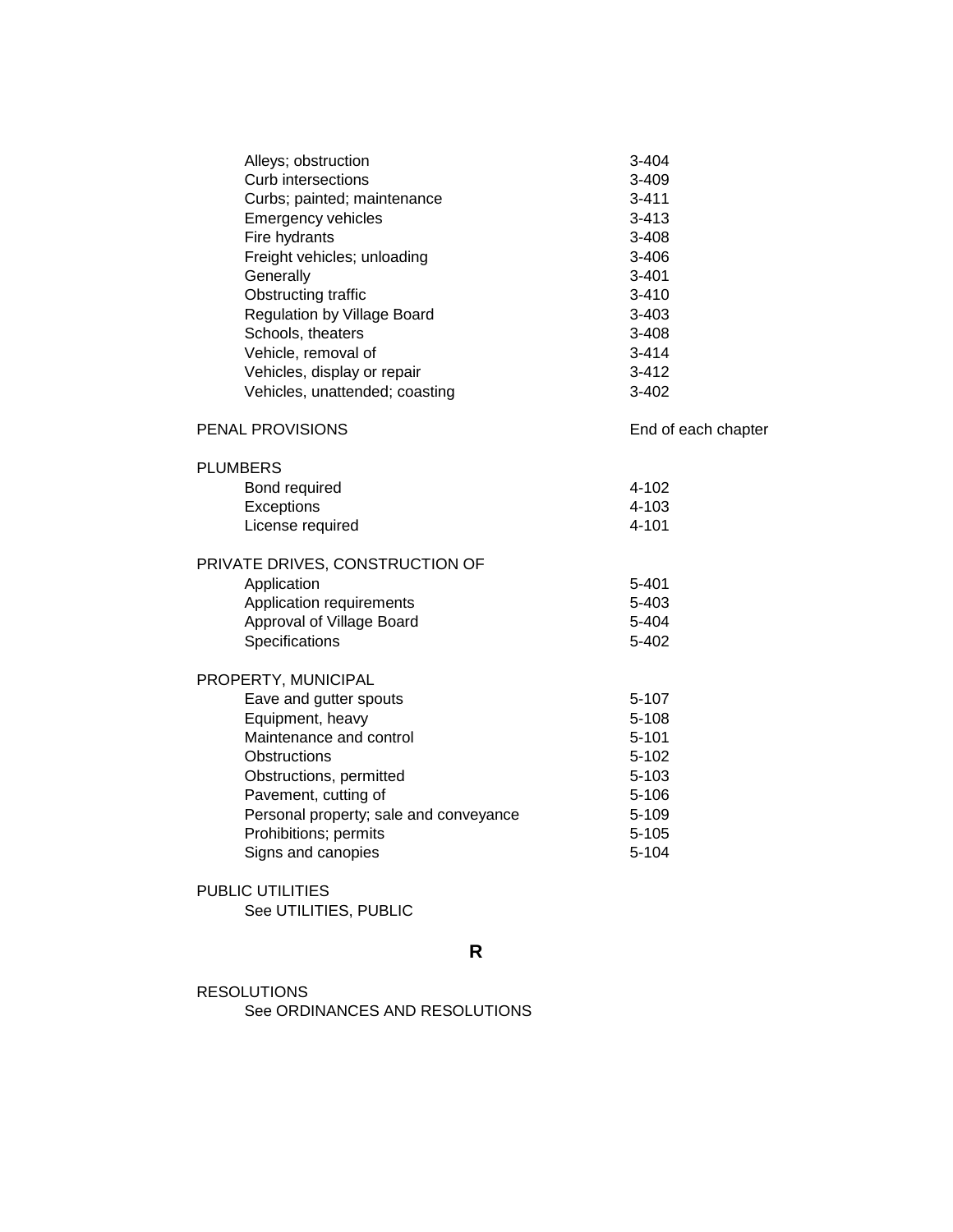| Alleys; obstruction                    | 3-404               |
|----------------------------------------|---------------------|
| Curb intersections                     | 3-409               |
| Curbs; painted; maintenance            | 3-411               |
| <b>Emergency vehicles</b>              | $3 - 413$           |
| Fire hydrants                          | 3-408               |
| Freight vehicles; unloading            | $3 - 406$           |
| Generally                              | $3 - 401$           |
| Obstructing traffic                    | $3 - 410$           |
| <b>Regulation by Village Board</b>     | 3-403               |
| Schools, theaters                      | 3-408               |
| Vehicle, removal of                    | $3 - 414$           |
| Vehicles, display or repair            | $3 - 412$           |
| Vehicles, unattended; coasting         | 3-402               |
|                                        |                     |
| <b>PENAL PROVISIONS</b>                | End of each chapter |
| <b>PLUMBERS</b>                        |                     |
| Bond required                          | 4-102               |
| Exceptions                             | 4-103               |
| License required                       | 4-101               |
|                                        |                     |
| PRIVATE DRIVES, CONSTRUCTION OF        |                     |
| Application                            | 5-401               |
| Application requirements               | 5-403               |
| Approval of Village Board              | 5-404               |
| Specifications                         | 5-402               |
|                                        |                     |
| PROPERTY, MUNICIPAL                    |                     |
| Eave and gutter spouts                 | 5-107               |
| Equipment, heavy                       | $5 - 108$           |
| Maintenance and control                | $5 - 101$           |
| Obstructions                           | $5 - 102$           |
| Obstructions, permitted                | $5 - 103$           |
| Pavement, cutting of                   | $5 - 106$           |
| Personal property; sale and conveyance | 5-109               |
| Prohibitions; permits                  | $5 - 105$           |
| Signs and canopies                     | $5 - 104$           |
| PUBLIC UTILITIES                       |                     |
|                                        |                     |

## See UTILITIES, PUBLIC

**R**

#### RESOLUTIONS See ORDINANCES AND RESOLUTIONS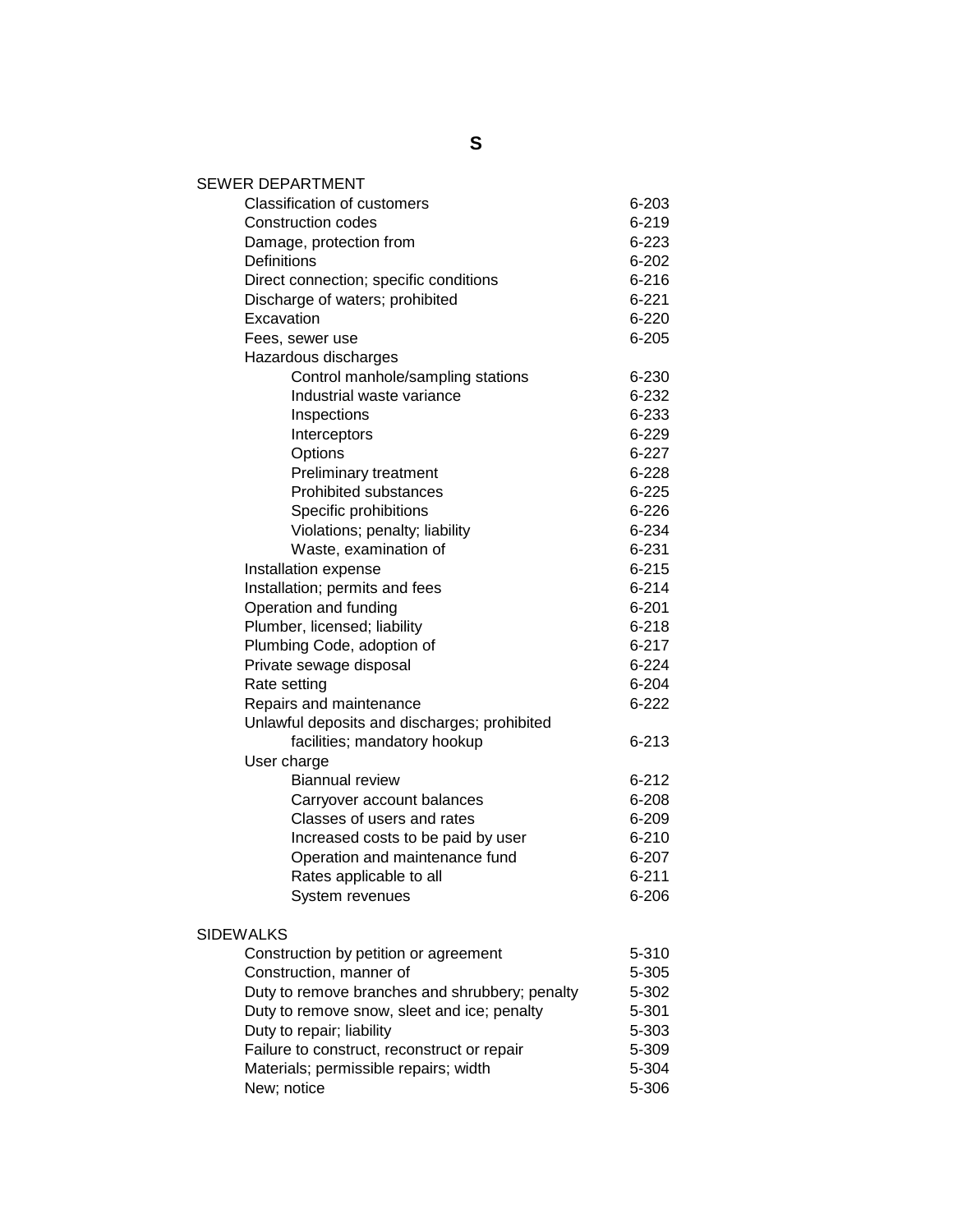| <b>SEWER DEPARTMENT</b>                        |           |
|------------------------------------------------|-----------|
| <b>Classification of customers</b>             | 6-203     |
| <b>Construction codes</b>                      | $6 - 219$ |
| Damage, protection from                        | 6-223     |
| <b>Definitions</b>                             | $6 - 202$ |
| Direct connection; specific conditions         | $6 - 216$ |
| Discharge of waters; prohibited                | $6 - 221$ |
| Excavation                                     | $6 - 220$ |
| Fees, sewer use                                | $6 - 205$ |
| Hazardous discharges                           |           |
| Control manhole/sampling stations              | 6-230     |
| Industrial waste variance                      | 6-232     |
| Inspections                                    | 6-233     |
| Interceptors                                   | 6-229     |
| Options                                        | $6 - 227$ |
| Preliminary treatment                          | $6 - 228$ |
| <b>Prohibited substances</b>                   | $6 - 225$ |
| Specific prohibitions                          | $6 - 226$ |
| Violations; penalty; liability                 | 6-234     |
| Waste, examination of                          | 6-231     |
| Installation expense                           | $6 - 215$ |
| Installation; permits and fees                 | $6 - 214$ |
| Operation and funding                          | $6 - 201$ |
| Plumber, licensed; liability                   | $6 - 218$ |
| Plumbing Code, adoption of                     | $6 - 217$ |
| Private sewage disposal                        | $6 - 224$ |
| Rate setting                                   | $6 - 204$ |
| Repairs and maintenance                        | $6 - 222$ |
| Unlawful deposits and discharges; prohibited   |           |
| facilities; mandatory hookup                   | $6 - 213$ |
| User charge                                    |           |
| <b>Biannual review</b>                         | $6 - 212$ |
| Carryover account balances                     | 6-208     |
| Classes of users and rates                     | $6 - 209$ |
| Increased costs to be paid by user             | 6-210     |
| Operation and maintenance fund                 | 6-207     |
| Rates applicable to all                        | $6 - 211$ |
| System revenues                                | 6-206     |
|                                                |           |
| <b>SIDEWALKS</b>                               |           |
| Construction by petition or agreement          | 5-310     |
| Construction, manner of                        | 5-305     |
| Duty to remove branches and shrubbery; penalty | 5-302     |
| Duty to remove snow, sleet and ice; penalty    | 5-301     |
| Duty to repair; liability                      | 5-303     |
| Failure to construct, reconstruct or repair    | 5-309     |
| Materials; permissible repairs; width          | 5-304     |
| New; notice                                    | 5-306     |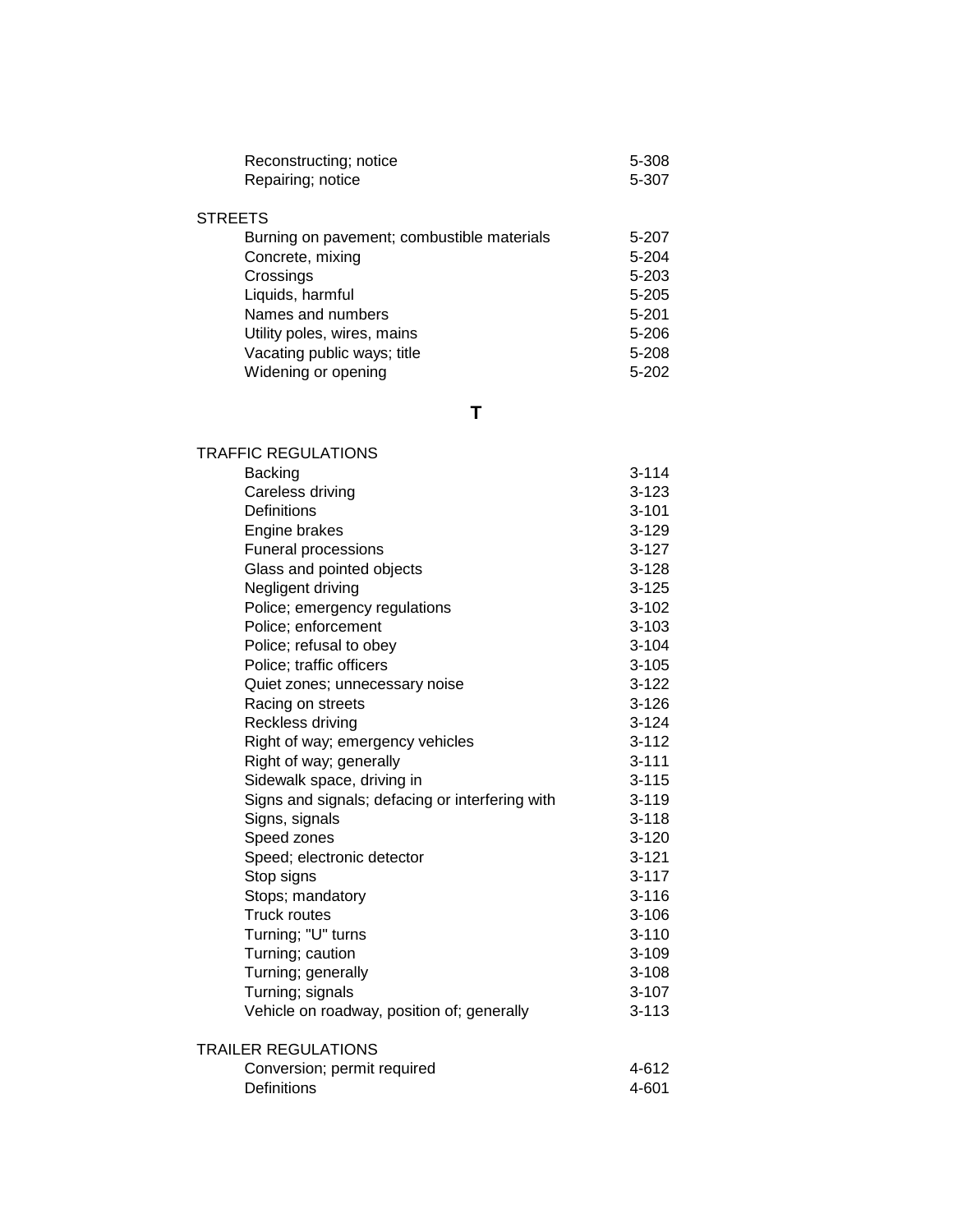| Reconstructing; notice                     | 5-308     |
|--------------------------------------------|-----------|
| Repairing; notice                          | 5-307     |
|                                            |           |
| <b>STREETS</b>                             |           |
| Burning on pavement; combustible materials | 5-207     |
| Concrete, mixing                           | 5-204     |
| Crossings                                  | $5 - 203$ |
| Liquids, harmful                           | $5 - 205$ |
| Names and numbers                          | $5 - 201$ |
| Utility poles, wires, mains                | $5 - 206$ |
| Vacating public ways; title                | 5-208     |
| Widening or opening                        | $5 - 202$ |
|                                            |           |

**T**

| <b>TRAFFIC REGULATIONS</b>                      |           |
|-------------------------------------------------|-----------|
| <b>Backing</b>                                  | $3 - 114$ |
| Careless driving                                | $3 - 123$ |
| <b>Definitions</b>                              | $3 - 101$ |
| Engine brakes                                   | $3 - 129$ |
| Funeral processions                             | $3 - 127$ |
| Glass and pointed objects                       | $3 - 128$ |
| Negligent driving                               | $3 - 125$ |
| Police; emergency regulations                   | $3 - 102$ |
| Police; enforcement                             | $3 - 103$ |
| Police; refusal to obey                         | $3 - 104$ |
| Police; traffic officers                        | $3 - 105$ |
| Quiet zones; unnecessary noise                  | $3 - 122$ |
| Racing on streets                               | $3 - 126$ |
| Reckless driving                                | $3 - 124$ |
| Right of way; emergency vehicles                | $3 - 112$ |
| Right of way; generally                         | $3 - 111$ |
| Sidewalk space, driving in                      | $3 - 115$ |
| Signs and signals; defacing or interfering with | $3 - 119$ |
| Signs, signals                                  | $3 - 118$ |
| Speed zones                                     | $3 - 120$ |
| Speed; electronic detector                      | $3 - 121$ |
| Stop signs                                      | $3 - 117$ |
| Stops; mandatory                                | $3 - 116$ |
| <b>Truck routes</b>                             | $3 - 106$ |
| Turning; "U" turns                              | $3 - 110$ |
| Turning; caution                                | $3 - 109$ |
| Turning; generally                              | $3 - 108$ |
| Turning; signals                                | $3 - 107$ |
| Vehicle on roadway, position of; generally      | $3 - 113$ |
| <b>TRAILER REGULATIONS</b>                      |           |
| Conversion; permit required                     | 4-612     |
| <b>Definitions</b>                              | 4-601     |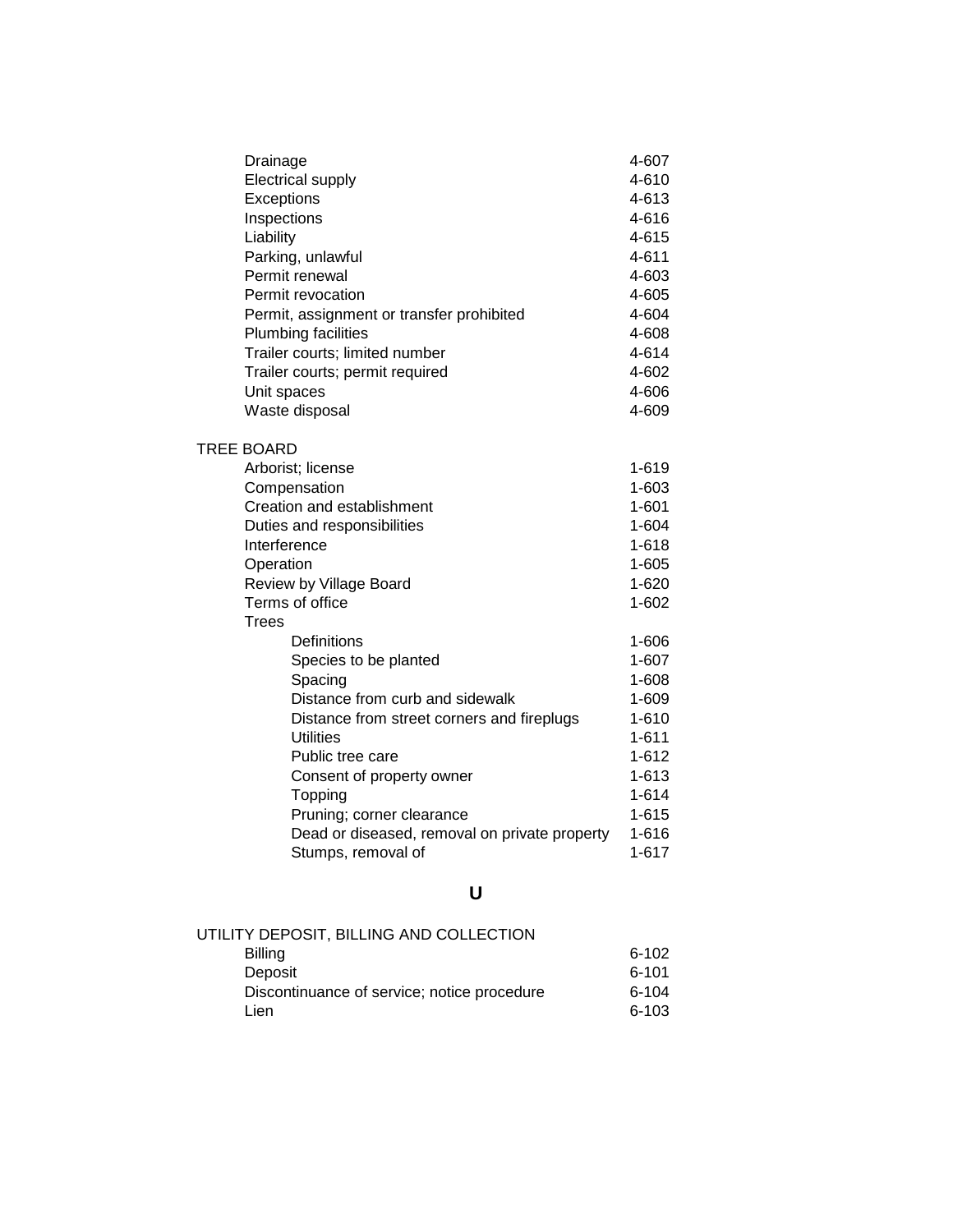| Drainage                                      | 4-607     |
|-----------------------------------------------|-----------|
| <b>Electrical supply</b>                      | 4-610     |
| Exceptions                                    | 4-613     |
| Inspections                                   | 4-616     |
| Liability                                     | 4-615     |
| Parking, unlawful                             | 4-611     |
| Permit renewal                                | 4-603     |
| Permit revocation                             | 4-605     |
| Permit, assignment or transfer prohibited     | 4-604     |
| <b>Plumbing facilities</b>                    | 4-608     |
| Trailer courts; limited number                | 4-614     |
| Trailer courts; permit required               | 4-602     |
| Unit spaces                                   | 4-606     |
| Waste disposal                                | 4-609     |
| TREE BOARD                                    |           |
| Arborist; license                             | 1-619     |
| Compensation                                  | $1 - 603$ |
| Creation and establishment                    | $1 - 601$ |
| Duties and responsibilities                   | 1-604     |
| Interference                                  | $1 - 618$ |
| Operation                                     | $1 - 605$ |
| Review by Village Board                       | $1 - 620$ |
| Terms of office                               | $1 - 602$ |
| <b>Trees</b>                                  |           |
| Definitions                                   | 1-606     |
| Species to be planted                         | $1 - 607$ |
| Spacing                                       | 1-608     |
| Distance from curb and sidewalk               | 1-609     |
| Distance from street corners and fireplugs    | $1 - 610$ |
| Utilities                                     | 1-611     |
| Public tree care                              | $1 - 612$ |
| Consent of property owner                     | $1 - 613$ |
| Topping                                       | 1-614     |
| Pruning; corner clearance                     | $1 - 615$ |
| Dead or diseased, removal on private property | $1 - 616$ |
| Stumps, removal of                            | $1 - 617$ |

# **U**

| UTILITY DEPOSIT, BILLING AND COLLECTION     |           |
|---------------------------------------------|-----------|
| <b>Billing</b>                              | 6-102     |
| Deposit                                     | 6-101     |
| Discontinuance of service; notice procedure | $6 - 104$ |
| Lien                                        | $6 - 103$ |
|                                             |           |